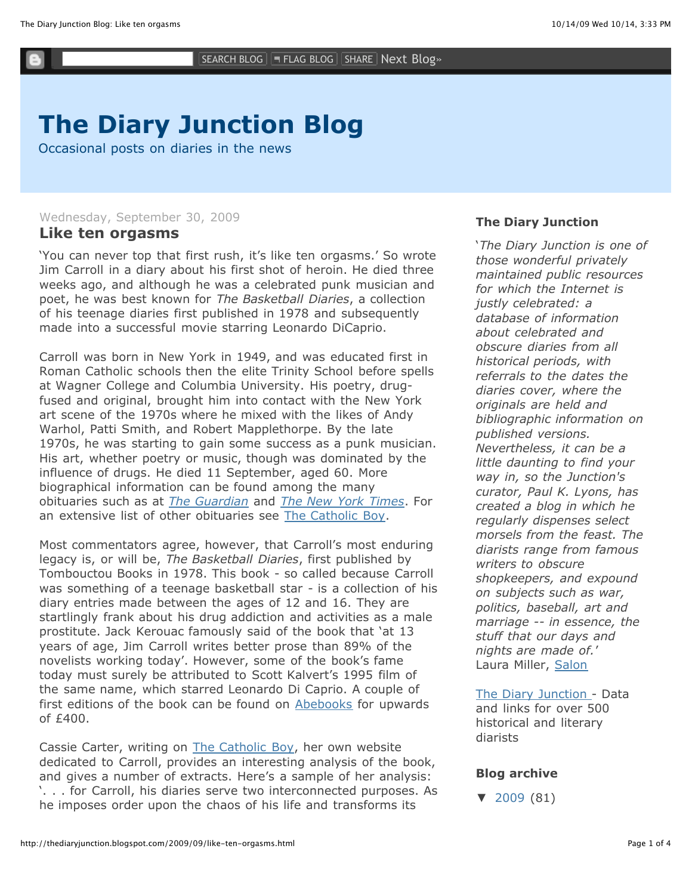# **[The Diary Junction Blog](http://thediaryjunction.blogspot.com/)**

Occasional posts on diaries in the news

## Wednesday, September 30, 2009 **[Like ten orgasms](http://thediaryjunction.blogspot.com/2009/09/like-ten-orgasms.html)**

'You can never top that first rush, it's like ten orgasms.' So wrote Jim Carroll in a diary about his first shot of heroin. He died three weeks ago, and although he was a celebrated punk musician and poet, he was best known for *The Basketball Diaries*, a collection of his teenage diaries first published in 1978 and subsequently made into a successful movie starring Leonardo DiCaprio.

Carroll was born in New York in 1949, and was educated first in Roman Catholic schools then the elite Trinity School before spells at Wagner College and Columbia University. His poetry, drugfused and original, brought him into contact with the New York art scene of the 1970s where he mixed with the likes of Andy Warhol, Patti Smith, and Robert Mapplethorpe. By the late 1970s, he was starting to gain some success as a punk musician. His art, whether poetry or music, though was dominated by the influence of drugs. He died 11 September, aged 60. More biographical information can be found among the many obituaries such as at *[The Guardian](http://www.guardian.co.uk/books/2009/sep/22/jim-carroll-obituary)* and *[The New York Times](http://www.nytimes.com/2009/09/14/books/14carroll.html)*. For an extensive list of other obituaries see [The Catholic Boy](http://www.catholicboy.com/notices.php).

Most commentators agree, however, that Carroll's most enduring legacy is, or will be, *The Basketball Diaries*, first published by Tombouctou Books in 1978. This book - so called because Carroll was something of a teenage basketball star - is a collection of his diary entries made between the ages of 12 and 16. They are startlingly frank about his drug addiction and activities as a male prostitute. Jack Kerouac famously said of the book that 'at 13 years of age, Jim Carroll writes better prose than 89% of the novelists working today'. However, some of the book's fame today must surely be attributed to Scott Kalvert's 1995 film of the same name, which starred Leonardo Di Caprio. A couple of first editions of the book can be found on [Abebooks](http://www.abebooks.co.uk/servlet/SearchResults?bt.x=0&bt.y=0&sortby=1&tn=The+Basketball+diaries) for upwards of £400.

Cassie Carter, writing on [The Catholic Boy](http://www.catholicboy.com/chapter2.php), her own website dedicated to Carroll, provides an interesting analysis of the book, and gives a number of extracts. Here's a sample of her analysis: '. . . for Carroll, his diaries serve two interconnected purposes. As he imposes order upon the chaos of his life and transforms its

#### **The Diary Junction**

'*The Diary Junction is one of those wonderful privately maintained public resources for which the Internet is justly celebrated: a database of information about celebrated and obscure diaries from all historical periods, with referrals to the dates the diaries cover, where the originals are held and bibliographic information on published versions. Nevertheless, it can be a little daunting to find your way in, so the Junction's curator, Paul K. Lyons, has created a blog in which he regularly dispenses select morsels from the feast. The diarists range from famous writers to obscure shopkeepers, and expound on subjects such as war, politics, baseball, art and marriage -- in essence, the stuff that our days and nights are made of.*' Laura Miller, [Salon](http://www.salon.com/ent/critics_picks/2008/10/11/october11/)

[The Diary Junction -](http://www.thediaryjunction.co.uk/) Data and links for over 500 historical and literary diarists

#### **Blog archive**

[▼](javascript:void(0)) [2009](http://thediaryjunction.blogspot.com/search?updated-min=2009-01-01T00%3A00%3A00Z&updated-max=2010-01-01T00%3A00%3A00Z&max-results=50) (81)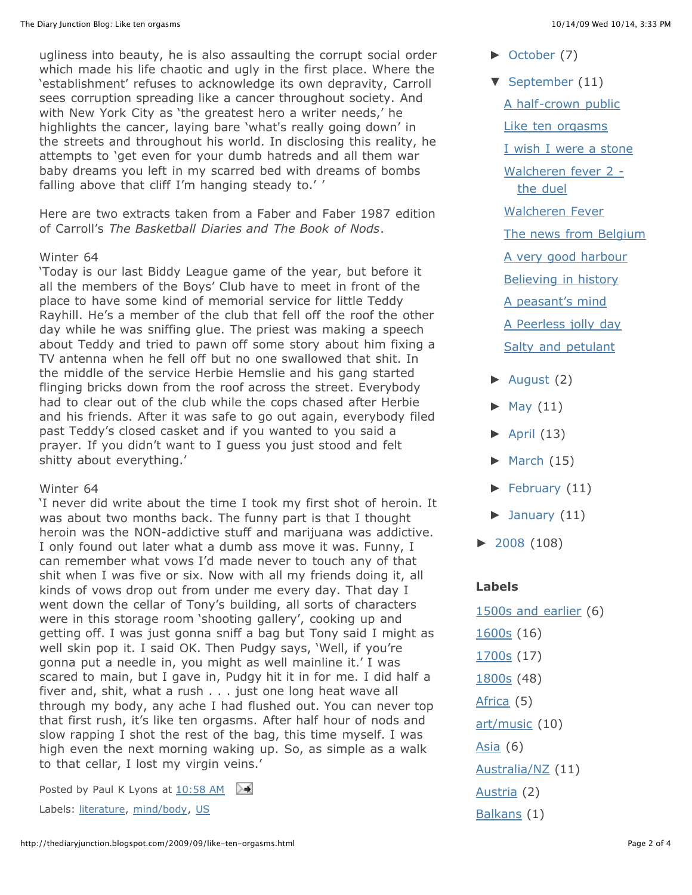ugliness into beauty, he is also assaulting the corrupt social order which made his life chaotic and ugly in the first place. Where the 'establishment' refuses to acknowledge its own depravity, Carroll sees corruption spreading like a cancer throughout society. And with New York City as 'the greatest hero a writer needs,' he highlights the cancer, laying bare 'what's really going down' in the streets and throughout his world. In disclosing this reality, he attempts to 'get even for your dumb hatreds and all them war baby dreams you left in my scarred bed with dreams of bombs falling above that cliff I'm hanging steady to.''

Here are two extracts taken from a Faber and Faber 1987 edition of Carroll's *The Basketball Diaries and The Book of Nods*.

### Winter 64

'Today is our last Biddy League game of the year, but before it all the members of the Boys' Club have to meet in front of the place to have some kind of memorial service for little Teddy Rayhill. He's a member of the club that fell off the roof the other day while he was sniffing glue. The priest was making a speech about Teddy and tried to pawn off some story about him fixing a TV antenna when he fell off but no one swallowed that shit. In the middle of the service Herbie Hemslie and his gang started flinging bricks down from the roof across the street. Everybody had to clear out of the club while the cops chased after Herbie and his friends. After it was safe to go out again, everybody filed past Teddy's closed casket and if you wanted to you said a prayer. If you didn't want to I guess you just stood and felt shitty about everything.'

## Winter 64

'I never did write about the time I took my first shot of heroin. It was about two months back. The funny part is that I thought heroin was the NON-addictive stuff and marijuana was addictive. I only found out later what a dumb ass move it was. Funny, I can remember what vows I'd made never to touch any of that shit when I was five or six. Now with all my friends doing it, all kinds of vows drop out from under me every day. That day I went down the cellar of Tony's building, all sorts of characters were in this storage room 'shooting gallery', cooking up and getting off. I was just gonna sniff a bag but Tony said I might as well skin pop it. I said OK. Then Pudgy says, 'Well, if you're gonna put a needle in, you might as well mainline it.' I was scared to main, but I gave in, Pudgy hit it in for me. I did half a fiver and, shit, what a rush . . . just one long heat wave all through my body, any ache I had flushed out. You can never top that first rush, it's like ten orgasms. After half hour of nods and slow rapping I shot the rest of the bag, this time myself. I was high even the next morning waking up. So, as simple as a walk to that cellar, I lost my virgin veins.'

Posted by Paul K Lyons at  $10:58$  AM

Labels: [literature,](http://thediaryjunction.blogspot.com/search/label/literature) [mind/body](http://thediaryjunction.blogspot.com/search/label/mind%2Fbody), [US](http://thediaryjunction.blogspot.com/search/label/US)

- [►](javascript:void(0)) [October](http://thediaryjunction.blogspot.com/2009_10_01_archive.html) (7)
- [▼](javascript:void(0)) [September](http://thediaryjunction.blogspot.com/2009_09_01_archive.html) (11) [A half-crown public](http://thediaryjunction.blogspot.com/2009/09/half-crown-public.html) [Like ten orgasms](http://thediaryjunction.blogspot.com/2009/09/like-ten-orgasms.html) [I wish I were a stone](http://thediaryjunction.blogspot.com/2009/09/i-wish-i-were-stone.html) [Walcheren fever 2](http://thediaryjunction.blogspot.com/2009/09/walcheren-fever-2-duel.html)  the duel [Walcheren Fever](http://thediaryjunction.blogspot.com/2009/09/walcheren-fever.html) [The news from Belgium](http://thediaryjunction.blogspot.com/2009/09/news-from-belgiium.html) [A very good harbour](http://thediaryjunction.blogspot.com/2009/09/very-good-harbour.html) [Believing in history](http://thediaryjunction.blogspot.com/2009/09/believing-in-history.html) [A peasant's mind](http://thediaryjunction.blogspot.com/2009/09/peasants-mind.html) [A Peerless jolly day](http://thediaryjunction.blogspot.com/2009/09/peerless-jolly-day.html) [Salty and petulant](http://thediaryjunction.blogspot.com/2009/09/salty-and-petulant.html)
- $\blacktriangleright$  [August](http://thediaryjunction.blogspot.com/2009_08_01_archive.html) (2)
- $\blacktriangleright$  [May](http://thediaryjunction.blogspot.com/2009_05_01_archive.html) (11)
- $\blacktriangleright$  [April](http://thediaryjunction.blogspot.com/2009_04_01_archive.html) (13)
- $\blacktriangleright$  [March](http://thediaryjunction.blogspot.com/2009_03_01_archive.html) (15)
- $\blacktriangleright$  [February](http://thediaryjunction.blogspot.com/2009_02_01_archive.html) (11)
- $\blacktriangleright$  [January](http://thediaryjunction.blogspot.com/2009_01_01_archive.html) (11)
- [►](javascript:void(0)) [2008](http://thediaryjunction.blogspot.com/search?updated-min=2008-01-01T00%3A00%3A00Z&updated-max=2009-01-01T00%3A00%3A00Z&max-results=50) (108)

## **Labels**

[1500s and earlier](http://thediaryjunction.blogspot.com/search/label/1500s%20and%20earlier) (6) [1600s](http://thediaryjunction.blogspot.com/search/label/1600s) (16) [1700s](http://thediaryjunction.blogspot.com/search/label/1700s) (17) [1800s](http://thediaryjunction.blogspot.com/search/label/1800s) (48) [Africa](http://thediaryjunction.blogspot.com/search/label/Africa) (5) [art/music](http://thediaryjunction.blogspot.com/search/label/art%2Fmusic) (10) [Asia](http://thediaryjunction.blogspot.com/search/label/Asia) (6) [Australia/NZ](http://thediaryjunction.blogspot.com/search/label/Australia%2FNZ) (11) [Austria](http://thediaryjunction.blogspot.com/search/label/Austria) (2) [Balkans](http://thediaryjunction.blogspot.com/search/label/Balkans) (1)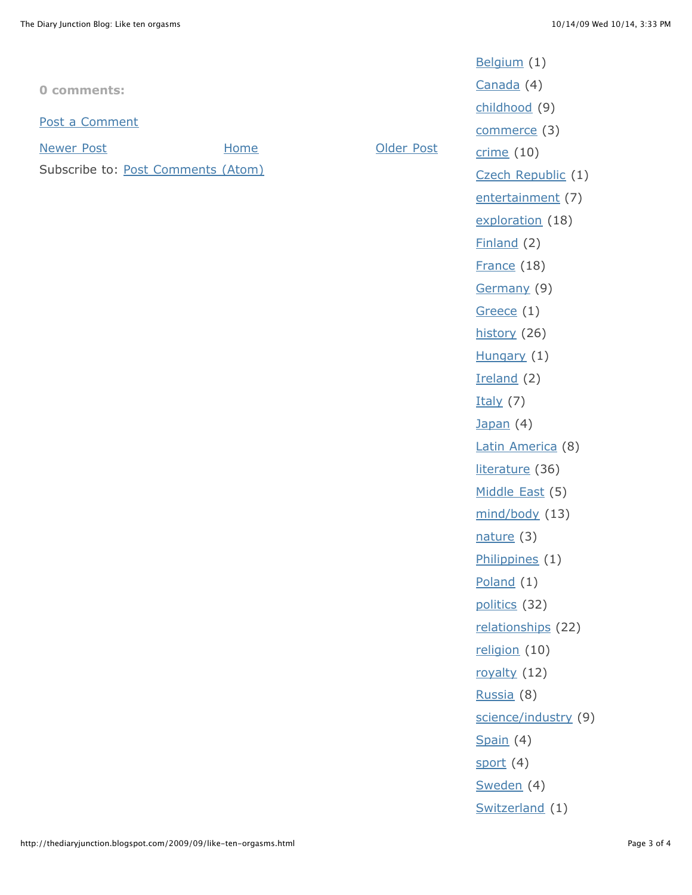[Belgium](http://thediaryjunction.blogspot.com/search/label/Belgium) (1) [Canada](http://thediaryjunction.blogspot.com/search/label/Canada) (4) [childhood](http://thediaryjunction.blogspot.com/search/label/childhood) (9) [commerce](http://thediaryjunction.blogspot.com/search/label/commerce) (3) [crime](http://thediaryjunction.blogspot.com/search/label/crime) (10) [Czech Republic](http://thediaryjunction.blogspot.com/search/label/Czech%20Republic) (1) [entertainment](http://thediaryjunction.blogspot.com/search/label/entertainment) (7) [exploration](http://thediaryjunction.blogspot.com/search/label/exploration) (18) [Finland](http://thediaryjunction.blogspot.com/search/label/Finland) (2) [France](http://thediaryjunction.blogspot.com/search/label/France) (18) [Germany](http://thediaryjunction.blogspot.com/search/label/Germany) (9) [Greece](http://thediaryjunction.blogspot.com/search/label/Greece) (1) [history](http://thediaryjunction.blogspot.com/search/label/history) (26) [Hungary](http://thediaryjunction.blogspot.com/search/label/Hungary) (1) [Ireland](http://thediaryjunction.blogspot.com/search/label/Ireland) (2) [Italy](http://thediaryjunction.blogspot.com/search/label/Italy) (7) [Japan](http://thediaryjunction.blogspot.com/search/label/Japan) (4) [Latin America](http://thediaryjunction.blogspot.com/search/label/Latin%20America) (8) [literature](http://thediaryjunction.blogspot.com/search/label/literature) (36) [Middle East](http://thediaryjunction.blogspot.com/search/label/Middle%20East) (5) [mind/body](http://thediaryjunction.blogspot.com/search/label/mind%2Fbody) (13) [nature](http://thediaryjunction.blogspot.com/search/label/nature) (3) [Philippines](http://thediaryjunction.blogspot.com/search/label/Philippines) (1) [Poland](http://thediaryjunction.blogspot.com/search/label/Poland) (1) [politics](http://thediaryjunction.blogspot.com/search/label/politics) (32) [relationships](http://thediaryjunction.blogspot.com/search/label/relationships) (22) [religion](http://thediaryjunction.blogspot.com/search/label/religion) (10) [royalty](http://thediaryjunction.blogspot.com/search/label/royalty) (12) [Russia](http://thediaryjunction.blogspot.com/search/label/Russia) (8) [science/industry](http://thediaryjunction.blogspot.com/search/label/science%2Findustry) (9) [Spain](http://thediaryjunction.blogspot.com/search/label/Spain) (4) [sport](http://thediaryjunction.blogspot.com/search/label/sport) (4) [Sweden](http://thediaryjunction.blogspot.com/search/label/Sweden) (4) [Switzerland](http://thediaryjunction.blogspot.com/search/label/Switzerland) (1)

**0 comments:**

[Post a Comment](https://www.blogger.com/comment.g?blogID=4139758809858755840&postID=5811407366854788170)

[Newer Post](http://thediaryjunction.blogspot.com/2009/09/half-crown-public.html) **COLORED ENGINEERING** MELTIC HOME **[Older Post](http://thediaryjunction.blogspot.com/2009/09/i-wish-i-were-stone.html)** 

Subscribe to: **[Post Comments \(Atom\)](http://thediaryjunction.blogspot.com/feeds/5811407366854788170/comments/default)** 

**[Home](http://thediaryjunction.blogspot.com/)**